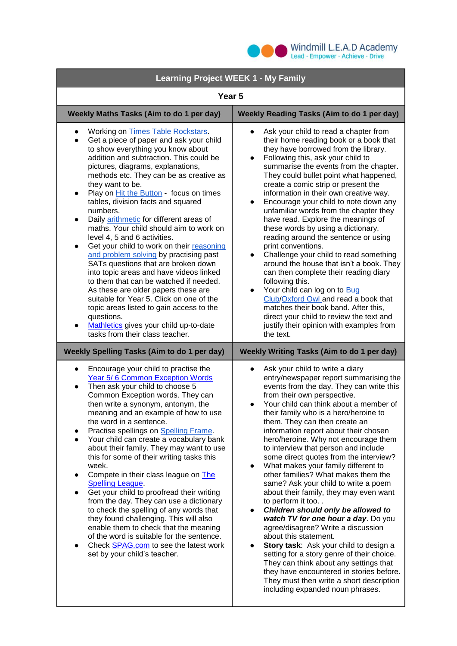

| <b>Learning Project WEEK 1 - My Family</b>                                                                                                                                                                                                                                                                                                                                                                                                                                                                                                                                                                                                                                                                                                                                                                                                                                                                                                                                                               |                                                                                                                                                                                                                                                                                                                                                                                                                                                                                                                                                                                                                                                                                                                                                                                                                                                                                                                                                                                                                                                         |
|----------------------------------------------------------------------------------------------------------------------------------------------------------------------------------------------------------------------------------------------------------------------------------------------------------------------------------------------------------------------------------------------------------------------------------------------------------------------------------------------------------------------------------------------------------------------------------------------------------------------------------------------------------------------------------------------------------------------------------------------------------------------------------------------------------------------------------------------------------------------------------------------------------------------------------------------------------------------------------------------------------|---------------------------------------------------------------------------------------------------------------------------------------------------------------------------------------------------------------------------------------------------------------------------------------------------------------------------------------------------------------------------------------------------------------------------------------------------------------------------------------------------------------------------------------------------------------------------------------------------------------------------------------------------------------------------------------------------------------------------------------------------------------------------------------------------------------------------------------------------------------------------------------------------------------------------------------------------------------------------------------------------------------------------------------------------------|
| Year <sub>5</sub>                                                                                                                                                                                                                                                                                                                                                                                                                                                                                                                                                                                                                                                                                                                                                                                                                                                                                                                                                                                        |                                                                                                                                                                                                                                                                                                                                                                                                                                                                                                                                                                                                                                                                                                                                                                                                                                                                                                                                                                                                                                                         |
| Weekly Maths Tasks (Aim to do 1 per day)                                                                                                                                                                                                                                                                                                                                                                                                                                                                                                                                                                                                                                                                                                                                                                                                                                                                                                                                                                 | <b>Weekly Reading Tasks (Aim to do 1 per day)</b>                                                                                                                                                                                                                                                                                                                                                                                                                                                                                                                                                                                                                                                                                                                                                                                                                                                                                                                                                                                                       |
| Working on Times Table Rockstars.<br>Get a piece of paper and ask your child<br>$\bullet$<br>to show everything you know about<br>addition and subtraction. This could be<br>pictures, diagrams, explanations,<br>methods etc. They can be as creative as<br>they want to be.<br>Play on <b>Hit the Button</b> - focus on times<br>$\bullet$<br>tables, division facts and squared<br>numbers.<br>Daily arithmetic for different areas of<br>$\bullet$<br>maths. Your child should aim to work on<br>level 4, 5 and 6 activities.<br>Get your child to work on their reasoning<br>$\bullet$<br>and problem solving by practising past<br>SATs questions that are broken down<br>into topic areas and have videos linked<br>to them that can be watched if needed.<br>As these are older papers these are<br>suitable for Year 5. Click on one of the<br>topic areas listed to gain access to the<br>questions.<br>Mathletics gives your child up-to-date<br>$\bullet$<br>tasks from their class teacher. | Ask your child to read a chapter from<br>$\bullet$<br>their home reading book or a book that<br>they have borrowed from the library.<br>Following this, ask your child to<br>$\bullet$<br>summarise the events from the chapter.<br>They could bullet point what happened,<br>create a comic strip or present the<br>information in their own creative way.<br>Encourage your child to note down any<br>unfamiliar words from the chapter they<br>have read. Explore the meanings of<br>these words by using a dictionary,<br>reading around the sentence or using<br>print conventions.<br>Challenge your child to read something<br>$\bullet$<br>around the house that isn't a book. They<br>can then complete their reading diary<br>following this.<br>Your child can log on to Bug<br>$\bullet$<br>Club/Oxford Owl and read a book that<br>matches their book band. After this,<br>direct your child to review the text and<br>justify their opinion with examples from<br>the text.                                                               |
| <b>Weekly Spelling Tasks (Aim to do 1 per day)</b><br><b>Weekly Writing Tasks (Aim to do 1 per day)</b>                                                                                                                                                                                                                                                                                                                                                                                                                                                                                                                                                                                                                                                                                                                                                                                                                                                                                                  |                                                                                                                                                                                                                                                                                                                                                                                                                                                                                                                                                                                                                                                                                                                                                                                                                                                                                                                                                                                                                                                         |
| Encourage your child to practise the<br>$\bullet$<br>Year 5/6 Common Exception Words<br>Then ask your child to choose 5<br>$\bullet$<br>Common Exception words. They can<br>then write a synonym, antonym, the<br>meaning and an example of how to use<br>the word in a sentence.<br>Practise spellings on Spelling Frame.<br>Your child can create a vocabulary bank<br>$\bullet$<br>about their family. They may want to use<br>this for some of their writing tasks this<br>week.<br>Compete in their class league on The<br>$\bullet$<br><b>Spelling League</b><br>Get your child to proofread their writing<br>$\bullet$<br>from the day. They can use a dictionary<br>to check the spelling of any words that<br>they found challenging. This will also<br>enable them to check that the meaning<br>of the word is suitable for the sentence.<br>Check <b>SPAG.com</b> to see the latest work<br>$\bullet$<br>set by your child's teacher.                                                         | Ask your child to write a diary<br>entry/newspaper report summarising the<br>events from the day. They can write this<br>from their own perspective.<br>Your child can think about a member of<br>their family who is a hero/heroine to<br>them. They can then create an<br>information report about their chosen<br>hero/heroine. Why not encourage them<br>to interview that person and include<br>some direct quotes from the interview?<br>What makes your family different to<br>other families? What makes them the<br>same? Ask your child to write a poem<br>about their family, they may even want<br>to perform it too<br>Children should only be allowed to<br>watch TV for one hour a day. Do you<br>agree/disagree? Write a discussion<br>about this statement.<br>Story task: Ask your child to design a<br>$\bullet$<br>setting for a story genre of their choice.<br>They can think about any settings that<br>they have encountered in stories before.<br>They must then write a short description<br>including expanded noun phrases. |